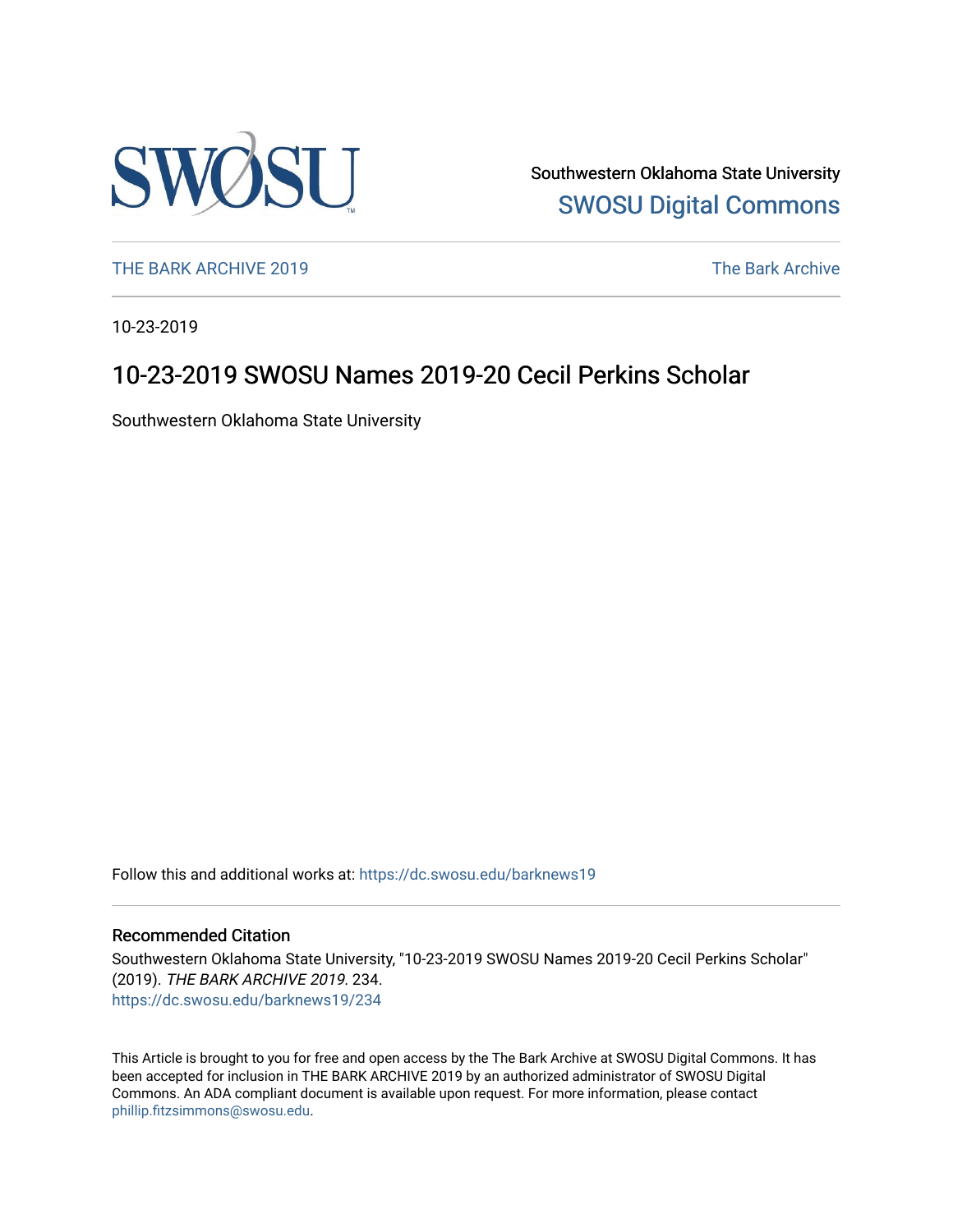

Southwestern Oklahoma State University [SWOSU Digital Commons](https://dc.swosu.edu/) 

[THE BARK ARCHIVE 2019](https://dc.swosu.edu/barknews19) The Bark Archive

10-23-2019

# 10-23-2019 SWOSU Names 2019-20 Cecil Perkins Scholar

Southwestern Oklahoma State University

Follow this and additional works at: [https://dc.swosu.edu/barknews19](https://dc.swosu.edu/barknews19?utm_source=dc.swosu.edu%2Fbarknews19%2F234&utm_medium=PDF&utm_campaign=PDFCoverPages)

### Recommended Citation

Southwestern Oklahoma State University, "10-23-2019 SWOSU Names 2019-20 Cecil Perkins Scholar" (2019). THE BARK ARCHIVE 2019. 234. [https://dc.swosu.edu/barknews19/234](https://dc.swosu.edu/barknews19/234?utm_source=dc.swosu.edu%2Fbarknews19%2F234&utm_medium=PDF&utm_campaign=PDFCoverPages)

This Article is brought to you for free and open access by the The Bark Archive at SWOSU Digital Commons. It has been accepted for inclusion in THE BARK ARCHIVE 2019 by an authorized administrator of SWOSU Digital Commons. An ADA compliant document is available upon request. For more information, please contact [phillip.fitzsimmons@swosu.edu](mailto:phillip.fitzsimmons@swosu.edu).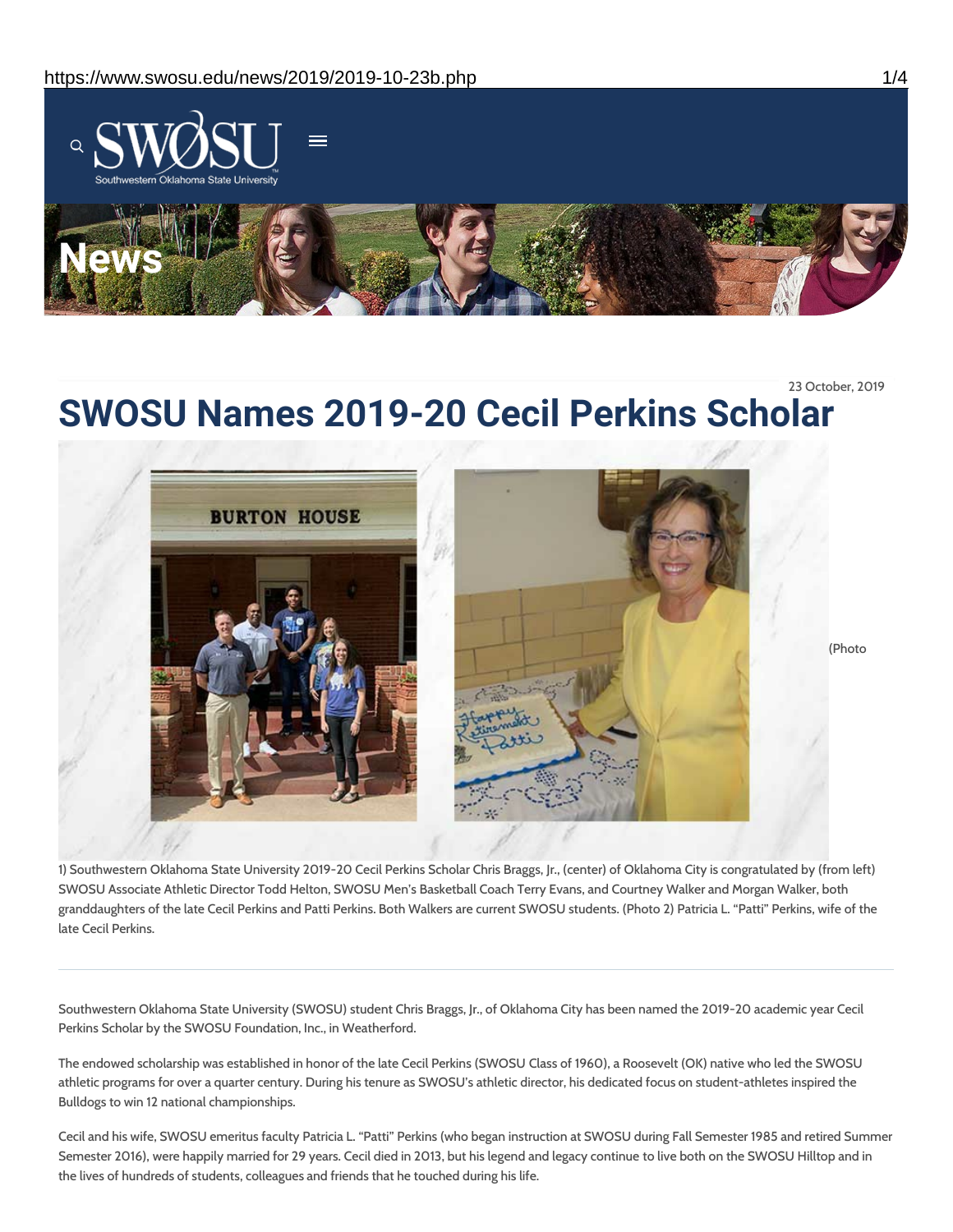

23 October, 2019

# **SWOSU Names 2019-20 Cecil Perkins Scholar**



1) Southwestern Oklahoma State University 2019-20 Cecil Perkins Scholar Chris Braggs, Jr., (center) of Oklahoma City is congratulated by (from left) SWOSU Associate Athletic Director Todd Helton, SWOSU Men's Basketball Coach Terry Evans, and Courtney Walker and Morgan Walker, both granddaughters of the late Cecil Perkins and Patti Perkins. Both Walkers are current SWOSU students. (Photo 2) Patricia L. "Patti" Perkins, wife of the late Cecil Perkins.

Southwestern Oklahoma State University (SWOSU) student Chris Braggs, Jr., of Oklahoma City has been named the 2019-20 academic year Cecil Perkins Scholar by the SWOSU Foundation, Inc., in Weatherford.

The endowed scholarship was established in honor of the late Cecil Perkins (SWOSU Class of 1960), a Roosevelt (OK) native who led the SWOSU athletic programs for over a quarter century. During his tenure as SWOSU's athletic director, his dedicated focus on student-athletes inspired the Bulldogs to win 12 national championships.

Cecil and his wife, SWOSU emeritus faculty Patricia L. "Patti" Perkins (who began instruction at SWOSU during Fall Semester 1985 and retired Summer Semester 2016), were happily married for 29 years. Cecil died in 2013, but his legend and legacy continue to live both on the SWOSU Hilltop and in the lives of hundreds of students, colleagues and friends that he touched during his life.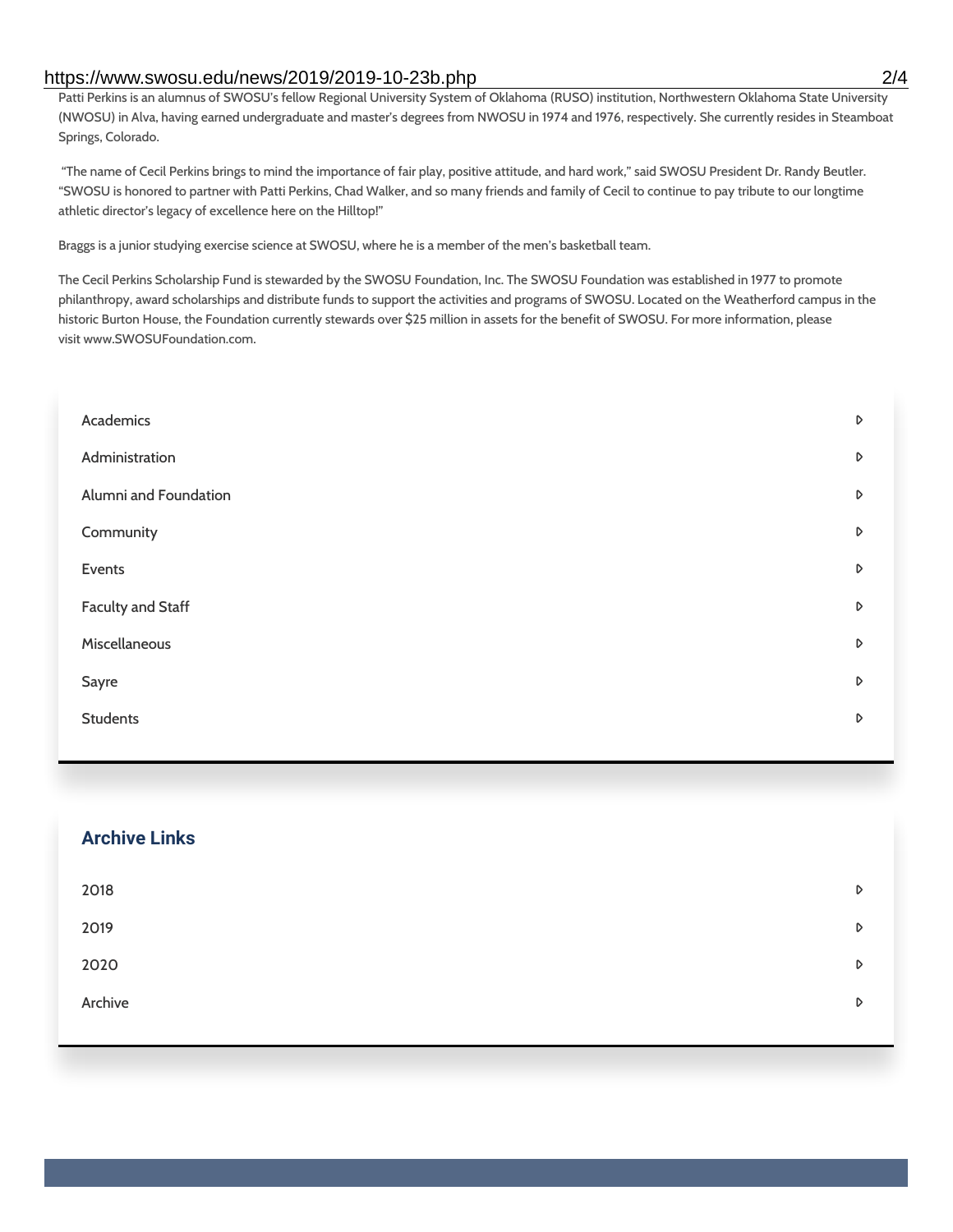### https://www.swosu.edu/news/2019/2019-10-23b.php 2/4

Patti Perkins is an alumnus of SWOSU's fellow Regional University System of Oklahoma (RUSO) institution, Northwestern Oklahoma State University (NWOSU) in Alva, having earned undergraduate and master's degrees from NWOSU in 1974 and 1976, respectively. She currently resides in Steamboat Springs, Colorado.

"The name of Cecil Perkins brings to mind the importance of fair play, positive attitude, and hard work," said SWOSU President Dr. Randy Beutler. "SWOSU is honored to partner with Patti Perkins, Chad Walker, and so many friends and family of Cecil to continue to pay tribute to our longtime athletic director's legacy of excellence here on the Hilltop!"

Braggs is a junior studying exercise science at SWOSU, where he is a member of the men's basketball team.

The Cecil Perkins Scholarship Fund is stewarded by the SWOSU Foundation, Inc. The SWOSU Foundation was established in 1977 to promote philanthropy, award scholarships and distribute funds to support the activities and programs of SWOSU. Located on the Weatherford campus in the historic Burton House, the Foundation currently stewards over \$25 million in assets for the benefit of SWOSU. For more information, please visit www.SWOSUFoundation.com.

| Academics                | D |
|--------------------------|---|
| Administration           | D |
| Alumni and Foundation    | D |
| Community                | D |
| Events                   | D |
| <b>Faculty and Staff</b> | D |
| Miscellaneous            | D |
| Sayre                    | D |
| <b>Students</b>          | D |
|                          |   |

| <b>Archive Links</b> |   |
|----------------------|---|
| 2018                 | D |
| 2019                 | D |
| 2020                 | D |
| Archive              | D |
|                      |   |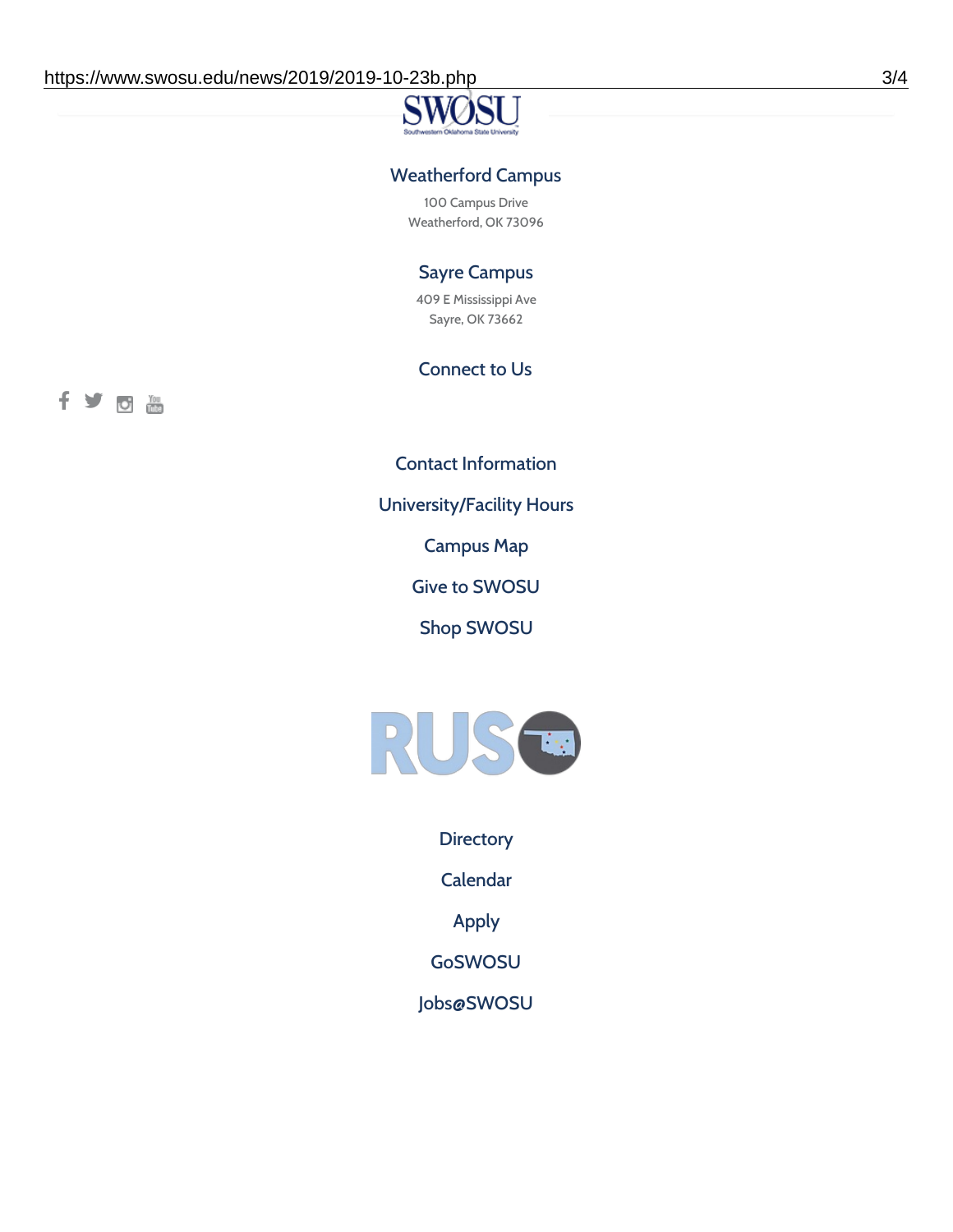### Weatherford Campus

100 Campus Drive Weatherford, OK 73096

## Sayre Campus

409 E Mississippi Ave Sayre, OK 73662

### Connect to Us

fyoth

Contact [Information](https://www.swosu.edu/about/contact.php)

[University/Facility](https://www.swosu.edu/about/operating-hours.php) Hours

[Campus](https://map.concept3d.com/?id=768#!ct/10964,10214,10213,10212,10205,10204,10203,10202,10136,10129,10128,0,31226,10130,10201,10641,0) Map

Give to [SWOSU](https://standingfirmly.com/donate)

Shop [SWOSU](https://shopswosu.merchorders.com/)



**[Directory](https://www.swosu.edu/directory/index.php)** 

[Calendar](https://eventpublisher.dudesolutions.com/swosu/)

[Apply](https://www.swosu.edu/admissions/apply-to-swosu.php)

[GoSWOSU](https://qlsso.quicklaunchsso.com/home/1267)

[Jobs@SWOSU](https://swosu.csod.com/ux/ats/careersite/1/home?c=swosu)